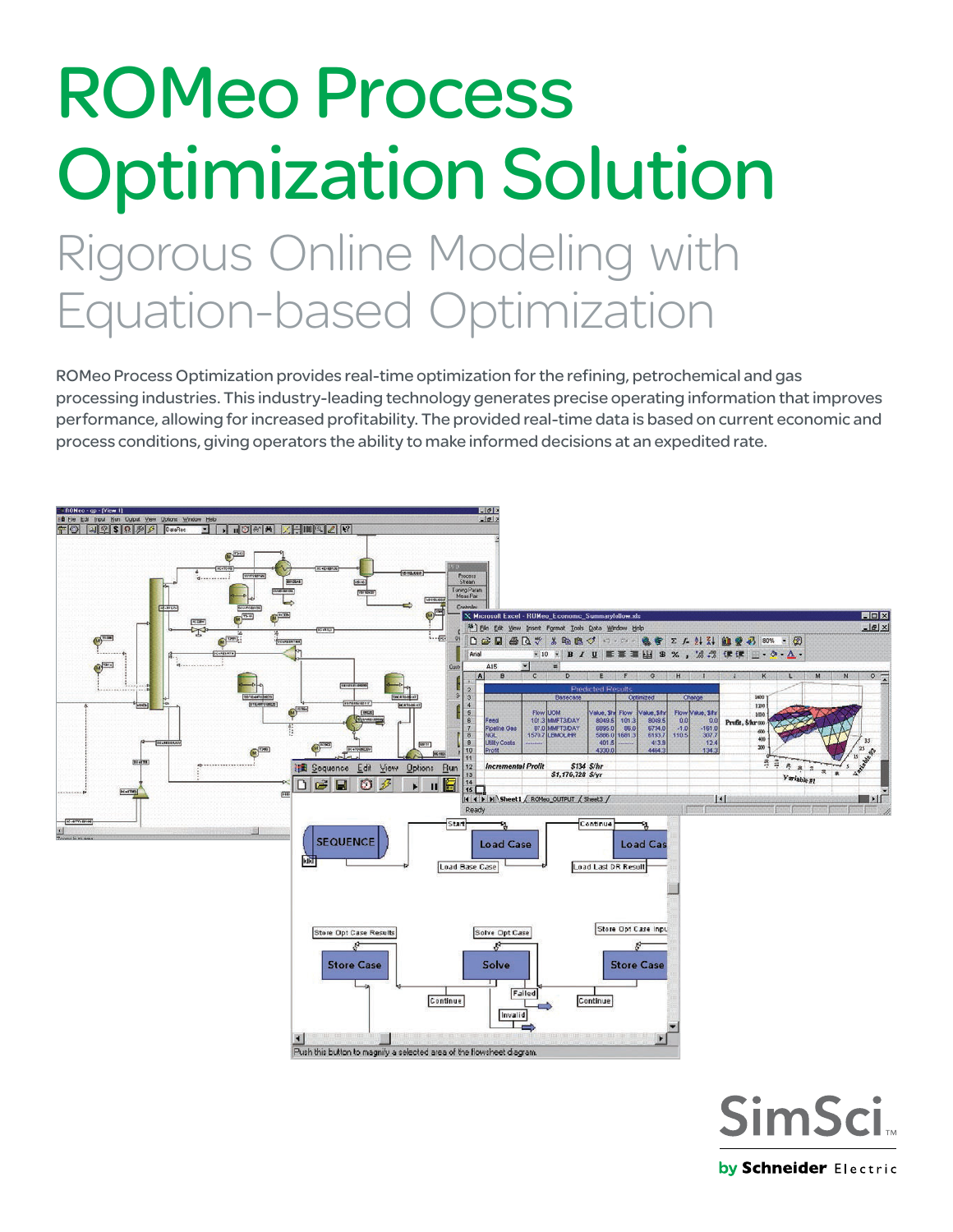# ROMeo Process Optimization Solution Rigorous Online Modeling with Equation-based Optimization

ROMeo Process Optimization provides real-time optimization for the refining, petrochemical and gas processing industries. This industry-leading technology generates precise operating information that improves performance, allowing for increased profitability. The provided real-time data is based on current economic and process conditions, giving operators the ability to make informed decisions at an expedited rate.



**SimSci** by Schneider Electric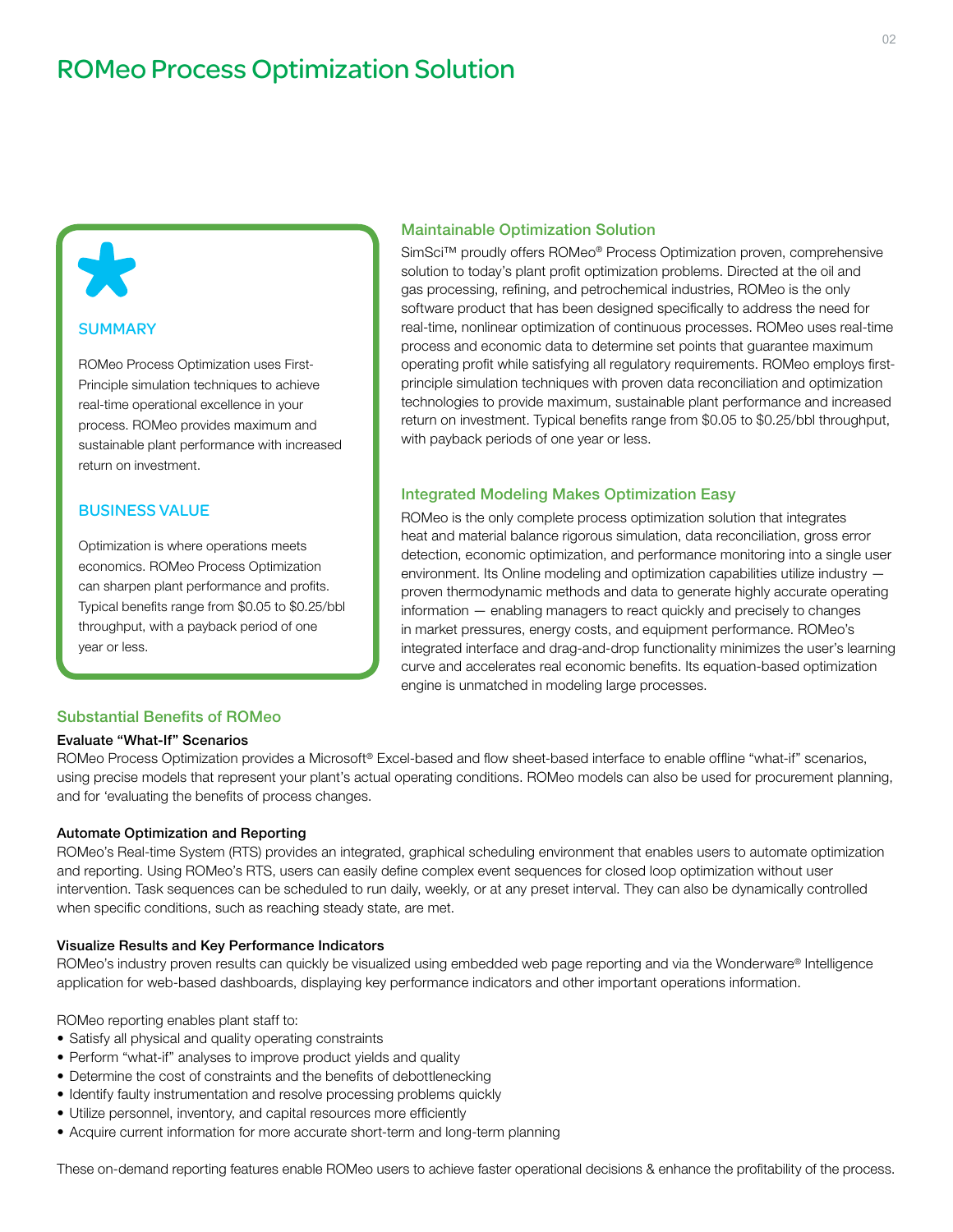# ROMeo Process Optimization Solution

# **SUMMARY**

 $\blacktriangleright$ 

ROMeo Process Optimization uses First-Principle simulation techniques to achieve real-time operational excellence in your process. ROMeo provides maximum and sustainable plant performance with increased return on investment.

# BUSINESS VALUE

Optimization is where operations meets economics. ROMeo Process Optimization can sharpen plant performance and profits. Typical benefits range from \$0.05 to \$0.25/bbl throughput, with a payback period of one year or less.

# Maintainable Optimization Solution

SimSci™ proudly offers ROMeo® Process Optimization proven, comprehensive solution to today's plant profit optimization problems. Directed at the oil and gas processing, refining, and petrochemical industries, ROMeo is the only software product that has been designed specifically to address the need for real-time, nonlinear optimization of continuous processes. ROMeo uses real-time process and economic data to determine set points that guarantee maximum operating profit while satisfying all regulatory requirements. ROMeo employs firstprinciple simulation techniques with proven data reconciliation and optimization technologies to provide maximum, sustainable plant performance and increased return on investment. Typical benefits range from \$0.05 to \$0.25/bbl throughput, with payback periods of one year or less.

#### Integrated Modeling Makes Optimization Easy

ROMeo is the only complete process optimization solution that integrates heat and material balance rigorous simulation, data reconciliation, gross error detection, economic optimization, and performance monitoring into a single user environment. Its Online modeling and optimization capabilities utilize industry proven thermodynamic methods and data to generate highly accurate operating information — enabling managers to react quickly and precisely to changes in market pressures, energy costs, and equipment performance. ROMeo's integrated interface and drag-and-drop functionality minimizes the user's learning curve and accelerates real economic benefits. Its equation-based optimization engine is unmatched in modeling large processes.

# Substantial Benefits of ROMeo

#### Evaluate "What-If" Scenarios

ROMeo Process Optimization provides a Microsoft® Excel-based and flow sheet-based interface to enable offline "what-if" scenarios, using precise models that represent your plant's actual operating conditions. ROMeo models can also be used for procurement planning, and for 'evaluating the benefits of process changes.

#### Automate Optimization and Reporting

ROMeo's Real-time System (RTS) provides an integrated, graphical scheduling environment that enables users to automate optimization and reporting. Using ROMeo's RTS, users can easily define complex event sequences for closed loop optimization without user intervention. Task sequences can be scheduled to run daily, weekly, or at any preset interval. They can also be dynamically controlled when specific conditions, such as reaching steady state, are met.

#### Visualize Results and Key Performance Indicators

ROMeo's industry proven results can quickly be visualized using embedded web page reporting and via the Wonderware® Intelligence application for web-based dashboards, displaying key performance indicators and other important operations information.

ROMeo reporting enables plant staff to:

- Satisfy all physical and quality operating constraints
- Perform "what-if" analyses to improve product yields and quality
- Determine the cost of constraints and the benefits of debottlenecking
- Identify faulty instrumentation and resolve processing problems quickly
- Utilize personnel, inventory, and capital resources more efficiently
- Acquire current information for more accurate short-term and long-term planning

These on-demand reporting features enable ROMeo users to achieve faster operational decisions & enhance the profitability of the process.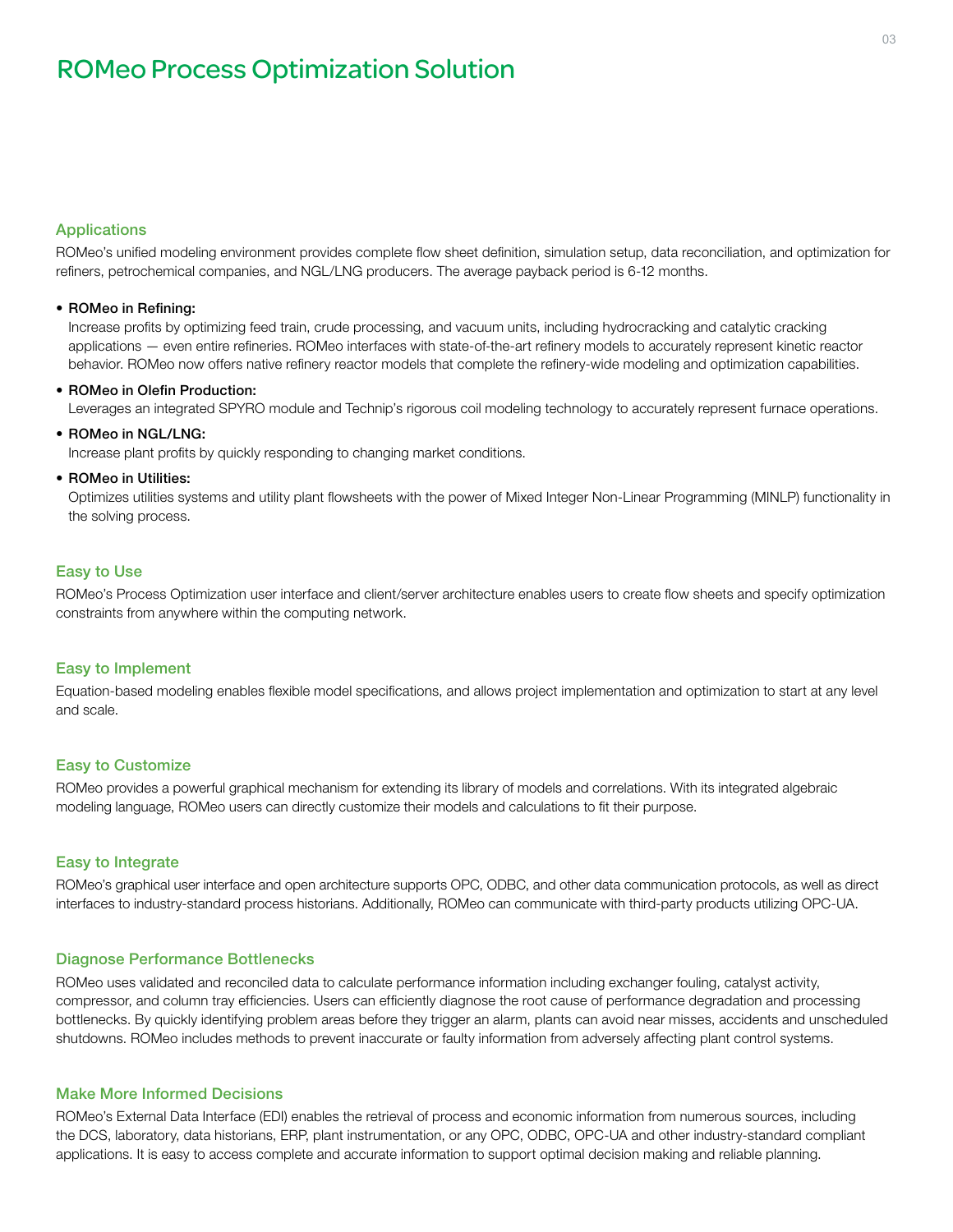# Applications

ROMeo's unified modeling environment provides complete flow sheet definition, simulation setup, data reconciliation, and optimization for refiners, petrochemical companies, and NGL/LNG producers. The average payback period is 6-12 months.

#### • ROMeo in Refining:

Increase profits by optimizing feed train, crude processing, and vacuum units, including hydrocracking and catalytic cracking applications — even entire refineries. ROMeo interfaces with state-of-the-art refinery models to accurately represent kinetic reactor behavior. ROMeo now offers native refinery reactor models that complete the refinery-wide modeling and optimization capabilities.

#### • ROMeo in Olefin Production:

Leverages an integrated SPYRO module and Technip's rigorous coil modeling technology to accurately represent furnace operations.

# • ROMeo in NGL/LNG:

Increase plant profits by quickly responding to changing market conditions.

#### • ROMeo in Utilities:

Optimizes utilities systems and utility plant flowsheets with the power of Mixed Integer Non-Linear Programming (MINLP) functionality in the solving process.

# Easy to Use

ROMeo's Process Optimization user interface and client/server architecture enables users to create flow sheets and specify optimization constraints from anywhere within the computing network.

# Easy to Implement

Equation-based modeling enables flexible model specifications, and allows project implementation and optimization to start at any level and scale.

# Easy to Customize

ROMeo provides a powerful graphical mechanism for extending its library of models and correlations. With its integrated algebraic modeling language, ROMeo users can directly customize their models and calculations to fit their purpose.

# Easy to Integrate

ROMeo's graphical user interface and open architecture supports OPC, ODBC, and other data communication protocols, as well as direct interfaces to industry-standard process historians. Additionally, ROMeo can communicate with third-party products utilizing OPC-UA.

# Diagnose Performance Bottlenecks

ROMeo uses validated and reconciled data to calculate performance information including exchanger fouling, catalyst activity, compressor, and column tray efficiencies. Users can efficiently diagnose the root cause of performance degradation and processing bottlenecks. By quickly identifying problem areas before they trigger an alarm, plants can avoid near misses, accidents and unscheduled shutdowns. ROMeo includes methods to prevent inaccurate or faulty information from adversely affecting plant control systems.

# Make More Informed Decisions

ROMeo's External Data Interface (EDI) enables the retrieval of process and economic information from numerous sources, including the DCS, laboratory, data historians, ERP, plant instrumentation, or any OPC, ODBC, OPC-UA and other industry-standard compliant applications. It is easy to access complete and accurate information to support optimal decision making and reliable planning.